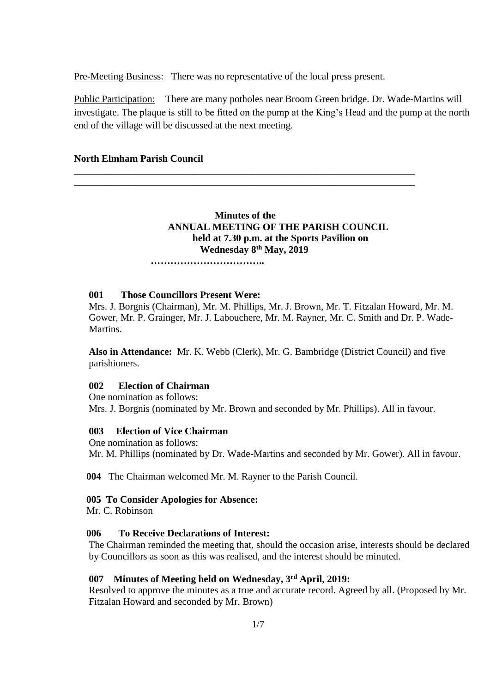Pre-Meeting Business: There was no representative of the local press present.

\_\_\_\_\_\_\_\_\_\_\_\_\_\_\_\_\_\_\_\_\_\_\_\_\_\_\_\_\_\_\_\_\_\_\_\_\_\_\_\_\_\_\_\_\_\_\_\_\_\_\_\_\_\_\_\_\_\_\_\_\_\_\_\_\_\_\_\_\_ \_\_\_\_\_\_\_\_\_\_\_\_\_\_\_\_\_\_\_\_\_\_\_\_\_\_\_\_\_\_\_\_\_\_\_\_\_\_\_\_\_\_\_\_\_\_\_\_\_\_\_\_\_\_\_\_\_\_\_\_\_\_\_\_\_\_\_\_\_

Public Participation: There are many potholes near Broom Green bridge. Dr. Wade-Martins will investigate. The plaque is still to be fitted on the pump at the King's Head and the pump at the north end of the village will be discussed at the next meeting.

## **North Elmham Parish Council**

## **Minutes of the ANNUAL MEETING OF THE PARISH COUNCIL held at 7.30 p.m. at the Sports Pavilion on Wednesday 8 th May, 2019**

 **……………………………..**

#### **001 Those Councillors Present Were:**

Mrs. J. Borgnis (Chairman), Mr. M. Phillips, Mr. J. Brown, Mr. T. Fitzalan Howard, Mr. M. Gower, Mr. P. Grainger, Mr. J. Labouchere, Mr. M. Rayner, Mr. C. Smith and Dr. P. Wade-Martins.

**Also in Attendance:** Mr. K. Webb (Clerk), Mr. G. Bambridge (District Council) and five parishioners.

### **002 Election of Chairman**

One nomination as follows: Mrs. J. Borgnis (nominated by Mr. Brown and seconded by Mr. Phillips). All in favour.

### **003 Election of Vice Chairman**

One nomination as follows: Mr. M. Phillips (nominated by Dr. Wade-Martins and seconded by Mr. Gower). All in favour.

 **004** The Chairman welcomed Mr. M. Rayner to the Parish Council.

## **005 To Consider Apologies for Absence:**

Mr. C. Robinson

#### **006 To Receive Declarations of Interest:**

The Chairman reminded the meeting that, should the occasion arise, interests should be declared by Councillors as soon as this was realised, and the interest should be minuted.

### **007 Minutes of Meeting held on Wednesday, 3 rd April, 2019:**

Resolved to approve the minutes as a true and accurate record. Agreed by all. (Proposed by Mr. Fitzalan Howard and seconded by Mr. Brown)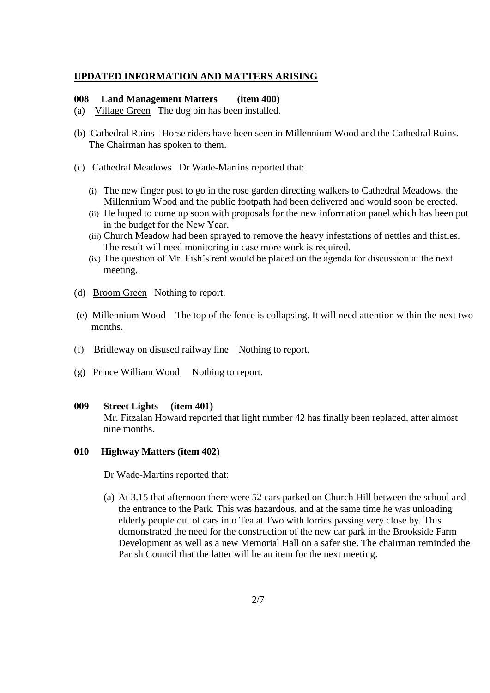### **UPDATED INFORMATION AND MATTERS ARISING**

### **008 Land Management Matters (item 400)**

- (a) Village Green The dog bin has been installed.
- (b) Cathedral Ruins Horse riders have been seen in Millennium Wood and the Cathedral Ruins. The Chairman has spoken to them.
- (c) Cathedral Meadows Dr Wade-Martins reported that:
	- (i) The new finger post to go in the rose garden directing walkers to Cathedral Meadows, the Millennium Wood and the public footpath had been delivered and would soon be erected.
	- (ii) He hoped to come up soon with proposals for the new information panel which has been put in the budget for the New Year.
	- (iii) Church Meadow had been sprayed to remove the heavy infestations of nettles and thistles. The result will need monitoring in case more work is required.
	- (iv) The question of Mr. Fish's rent would be placed on the agenda for discussion at the next meeting.
- (d) Broom Green Nothing to report.
- (e) Millennium Wood The top of the fence is collapsing. It will need attention within the next two months.
- (f) Bridleway on disused railway line Nothing to report.
- (g) Prince William Wood Nothing to report.

#### **009 Street Lights (item 401)**

Mr. Fitzalan Howard reported that light number 42 has finally been replaced, after almost nine months.

### **010 Highway Matters (item 402)**

Dr Wade-Martins reported that:

(a) At 3.15 that afternoon there were 52 cars parked on Church Hill between the school and the entrance to the Park. This was hazardous, and at the same time he was unloading elderly people out of cars into Tea at Two with lorries passing very close by. This demonstrated the need for the construction of the new car park in the Brookside Farm Development as well as a new Memorial Hall on a safer site. The chairman reminded the Parish Council that the latter will be an item for the next meeting.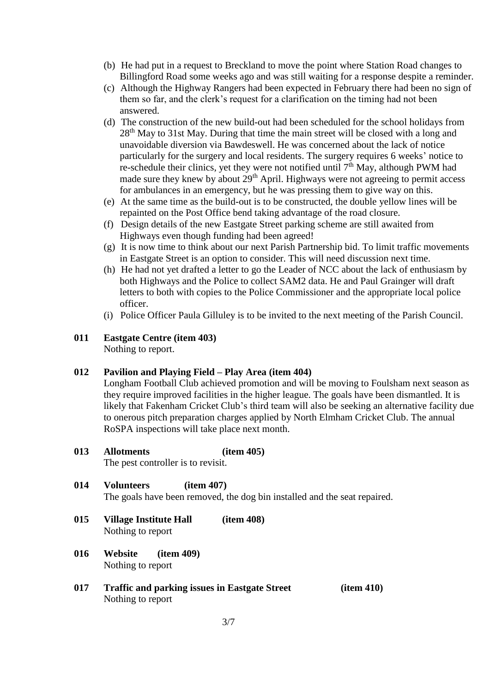- (b) He had put in a request to Breckland to move the point where Station Road changes to Billingford Road some weeks ago and was still waiting for a response despite a reminder.
- (c) Although the Highway Rangers had been expected in February there had been no sign of them so far, and the clerk's request for a clarification on the timing had not been answered.
- (d) The construction of the new build-out had been scheduled for the school holidays from 28<sup>th</sup> May to 31st May. During that time the main street will be closed with a long and unavoidable diversion via Bawdeswell. He was concerned about the lack of notice particularly for the surgery and local residents. The surgery requires 6 weeks' notice to re-schedule their clinics, yet they were not notified until  $7<sup>th</sup>$  May, although PWM had made sure they knew by about  $29<sup>th</sup>$  April. Highways were not agreeing to permit access for ambulances in an emergency, but he was pressing them to give way on this.
- (e) At the same time as the build-out is to be constructed, the double yellow lines will be repainted on the Post Office bend taking advantage of the road closure.
- (f) Design details of the new Eastgate Street parking scheme are still awaited from Highways even though funding had been agreed!
- (g) It is now time to think about our next Parish Partnership bid. To limit traffic movements in Eastgate Street is an option to consider. This will need discussion next time.
- (h) He had not yet drafted a letter to go the Leader of NCC about the lack of enthusiasm by both Highways and the Police to collect SAM2 data. He and Paul Grainger will draft letters to both with copies to the Police Commissioner and the appropriate local police officer.
- (i) Police Officer Paula Gilluley is to be invited to the next meeting of the Parish Council.

# **011 Eastgate Centre (item 403)**

Nothing to report.

### **012 Pavilion and Playing Field – Play Area (item 404)**

Longham Football Club achieved promotion and will be moving to Foulsham next season as they require improved facilities in the higher league. The goals have been dismantled. It is likely that Fakenham Cricket Club's third team will also be seeking an alternative facility due to onerous pitch preparation charges applied by North Elmham Cricket Club. The annual RoSPA inspections will take place next month.

## **013 Allotments (item 405)**

The pest controller is to revisit.

## **014 Volunteers (item 407)**

The goals have been removed, the dog bin installed and the seat repaired.

- **015 Village Institute Hall (item 408)** Nothing to report
- **016 Website (item 409)** Nothing to report
- **017 Traffic and parking issues in Eastgate Street (item 410)** Nothing to report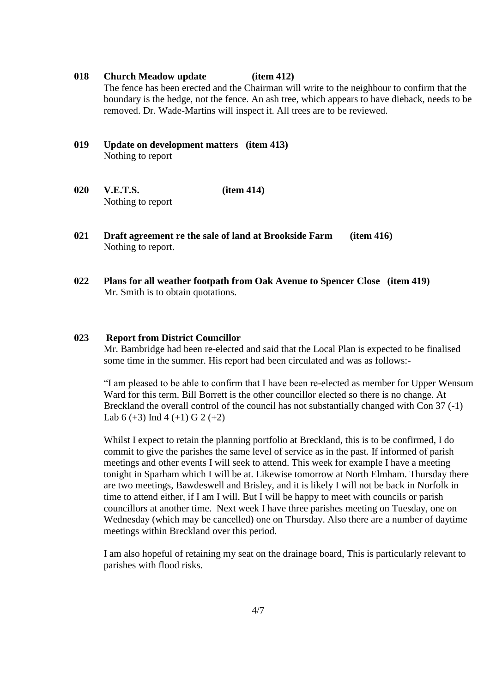### **018 Church Meadow update (item 412)**

The fence has been erected and the Chairman will write to the neighbour to confirm that the boundary is the hedge, not the fence. An ash tree, which appears to have dieback, needs to be removed. Dr. Wade-Martins will inspect it. All trees are to be reviewed.

- **019 Update on development matters (item 413)** Nothing to report
- **020 V.E.T.S. (item 414)** Nothing to report
- **021 Draft agreement re the sale of land at Brookside Farm (item 416)** Nothing to report.
- **022 Plans for all weather footpath from Oak Avenue to Spencer Close (item 419)** Mr. Smith is to obtain quotations.

### **023 Report from District Councillor**

Mr. Bambridge had been re-elected and said that the Local Plan is expected to be finalised some time in the summer. His report had been circulated and was as follows:-

"I am pleased to be able to confirm that I have been re-elected as member for Upper Wensum Ward for this term. Bill Borrett is the other councillor elected so there is no change. At Breckland the overall control of the council has not substantially changed with Con 37 (-1) Lab  $6 (+3)$  Ind  $4 (+1)$  G  $2 (+2)$ 

Whilst I expect to retain the planning portfolio at Breckland, this is to be confirmed, I do commit to give the parishes the same level of service as in the past. If informed of parish meetings and other events I will seek to attend. This week for example I have a meeting tonight in Sparham which I will be at. Likewise tomorrow at North Elmham. Thursday there are two meetings, Bawdeswell and Brisley, and it is likely I will not be back in Norfolk in time to attend either, if I am I will. But I will be happy to meet with councils or parish councillors at another time. Next week I have three parishes meeting on Tuesday, one on Wednesday (which may be cancelled) one on Thursday. Also there are a number of daytime meetings within Breckland over this period.

I am also hopeful of retaining my seat on the drainage board, This is particularly relevant to parishes with flood risks.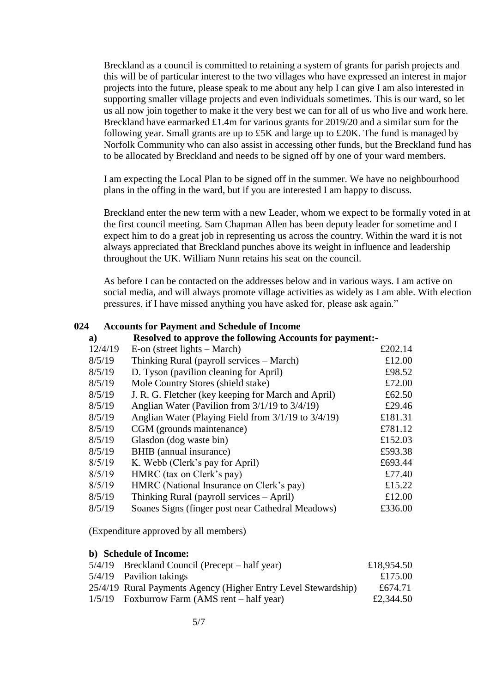Breckland as a council is committed to retaining a system of grants for parish projects and this will be of particular interest to the two villages who have expressed an interest in major projects into the future, please speak to me about any help I can give I am also interested in supporting smaller village projects and even individuals sometimes. This is our ward, so let us all now join together to make it the very best we can for all of us who live and work here. Breckland have earmarked £1.4m for various grants for 2019/20 and a similar sum for the following year. Small grants are up to £5K and large up to £20K. The fund is managed by Norfolk Community who can also assist in accessing other funds, but the Breckland fund has to be allocated by Breckland and needs to be signed off by one of your ward members.

I am expecting the Local Plan to be signed off in the summer. We have no neighbourhood plans in the offing in the ward, but if you are interested I am happy to discuss.

Breckland enter the new term with a new Leader, whom we expect to be formally voted in at the first council meeting. Sam Chapman Allen has been deputy leader for sometime and I expect him to do a great job in representing us across the country. Within the ward it is not always appreciated that Breckland punches above its weight in influence and leadership throughout the UK. William Nunn retains his seat on the council.

As before I can be contacted on the addresses below and in various ways. I am active on social media, and will always promote village activities as widely as I am able. With election pressures, if I have missed anything you have asked for, please ask again."

### **024 Accounts for Payment and Schedule of Income**

| $\mathbf{a}$ | <b>Resolved to approve the following Accounts for payment:-</b> |         |  |
|--------------|-----------------------------------------------------------------|---------|--|
| 12/4/19      | E-on (street lights $-$ March)                                  | £202.14 |  |
| 8/5/19       | Thinking Rural (payroll services – March)                       | £12.00  |  |
| 8/5/19       | D. Tyson (pavilion cleaning for April)                          | £98.52  |  |
| 8/5/19       | Mole Country Stores (shield stake)                              | £72.00  |  |
| 8/5/19       | J. R. G. Fletcher (key keeping for March and April)             | £62.50  |  |
| 8/5/19       | Anglian Water (Pavilion from $3/1/19$ to $3/4/19$ )             | £29.46  |  |
| 8/5/19       | Anglian Water (Playing Field from 3/1/19 to 3/4/19)             | £181.31 |  |
| 8/5/19       | CGM (grounds maintenance)                                       | £781.12 |  |
| 8/5/19       | Glasdon (dog waste bin)                                         | £152.03 |  |
| 8/5/19       | BHIB (annual insurance)                                         | £593.38 |  |
| 8/5/19       | K. Webb (Clerk's pay for April)                                 | £693.44 |  |
| 8/5/19       | HMRC (tax on Clerk's pay)                                       | £77.40  |  |
| 8/5/19       | HMRC (National Insurance on Clerk's pay)                        | £15.22  |  |
| 8/5/19       | Thinking Rural (payroll services $-\text{April}$ )              | £12.00  |  |
| 8/5/19       | Soanes Signs (finger post near Cathedral Meadows)               | £336.00 |  |

(Expenditure approved by all members)

### **b) Schedule of Income:**

| $5/4/19$ Breckland Council (Precept – half year)               | £18,954.50 |
|----------------------------------------------------------------|------------|
| 5/4/19 Pavilion takings                                        | £175.00    |
| 25/4/19 Rural Payments Agency (Higher Entry Level Stewardship) | £674.71    |
| $1/5/19$ Foxburrow Farm (AMS rent – half year)                 | £2,344.50  |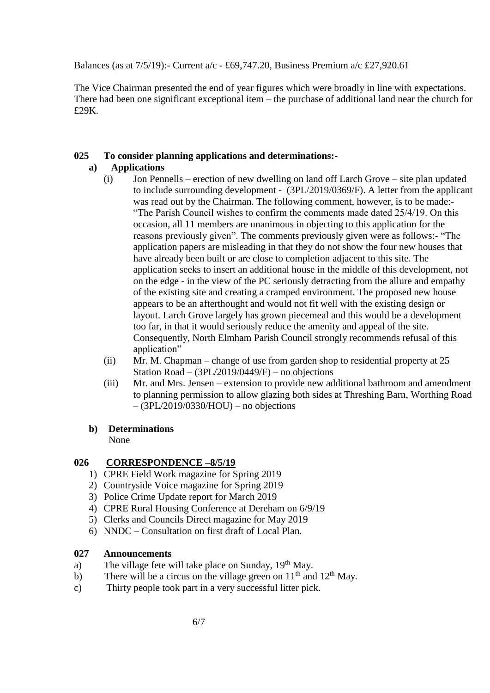Balances (as at 7/5/19):- Current a/c - £69,747.20, Business Premium a/c £27,920.61

The Vice Chairman presented the end of year figures which were broadly in line with expectations. There had been one significant exceptional item – the purchase of additional land near the church for £29K.

## **025 To consider planning applications and determinations:-**

## **a) Applications**

- (i) Jon Pennells erection of new dwelling on land off Larch Grove site plan updated to include surrounding development - (3PL/2019/0369/F). A letter from the applicant was read out by the Chairman. The following comment, however, is to be made:- "The Parish Council wishes to confirm the comments made dated 25/4/19. On this occasion, all 11 members are unanimous in objecting to this application for the reasons previously given". The comments previously given were as follows:- "The application papers are misleading in that they do not show the four new houses that have already been built or are close to completion adjacent to this site. The application seeks to insert an additional house in the middle of this development, not on the edge - in the view of the PC seriously detracting from the allure and empathy of the existing site and creating a cramped environment. The proposed new house appears to be an afterthought and would not fit well with the existing design or layout. Larch Grove largely has grown piecemeal and this would be a development too far, in that it would seriously reduce the amenity and appeal of the site. Consequently, North Elmham Parish Council strongly recommends refusal of this application"
- (ii) Mr. M. Chapman change of use from garden shop to residential property at 25 Station Road –  $(3PL/2019/0449/F)$  – no objections
- (iii) Mr. and Mrs. Jensen extension to provide new additional bathroom and amendment to planning permission to allow glazing both sides at Threshing Barn, Worthing Road  $-(3PL/2019/0330/HOU)$  – no objections

## **b) Determinations**

None

# **026 CORRESPONDENCE –8/5/19**

- 1) CPRE Field Work magazine for Spring 2019
- 2) Countryside Voice magazine for Spring 2019
- 3) Police Crime Update report for March 2019
- 4) CPRE Rural Housing Conference at Dereham on 6/9/19
- 5) Clerks and Councils Direct magazine for May 2019
- 6) NNDC Consultation on first draft of Local Plan.

## **027 Announcements**

- a) The village fete will take place on Sunday,  $19<sup>th</sup>$  May.
- b) There will be a circus on the village green on  $11<sup>th</sup>$  and  $12<sup>th</sup>$  May.
- c) Thirty people took part in a very successful litter pick.